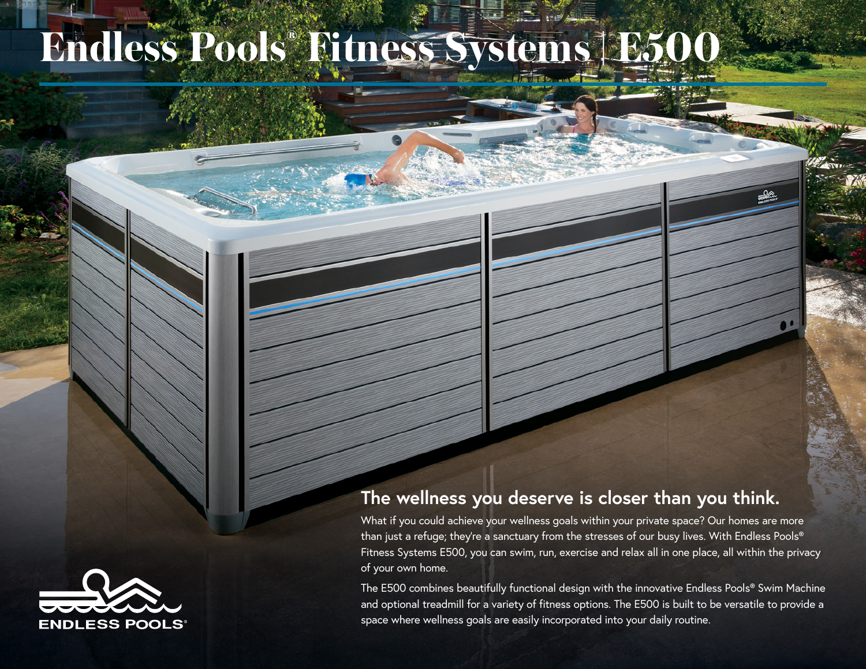## **Endless Pools® Fitness Systems | E500**



## **The wellness you deserve is closer than you think.**

What if you could achieve your wellness goals within your private space? Our homes are more than just a refuge; they're a sanctuary from the stresses of our busy lives. With Endless Pools® Fitness Systems E500, you can swim, run, exercise and relax all in one place, all within the privacy of your own home.

The E500 combines beautifully functional design with the innovative Endless Pools® Swim Machine and optional treadmill for a variety of fitness options. The E500 is built to be versatile to provide a space where wellness goals are easily incorporated into your daily routine.